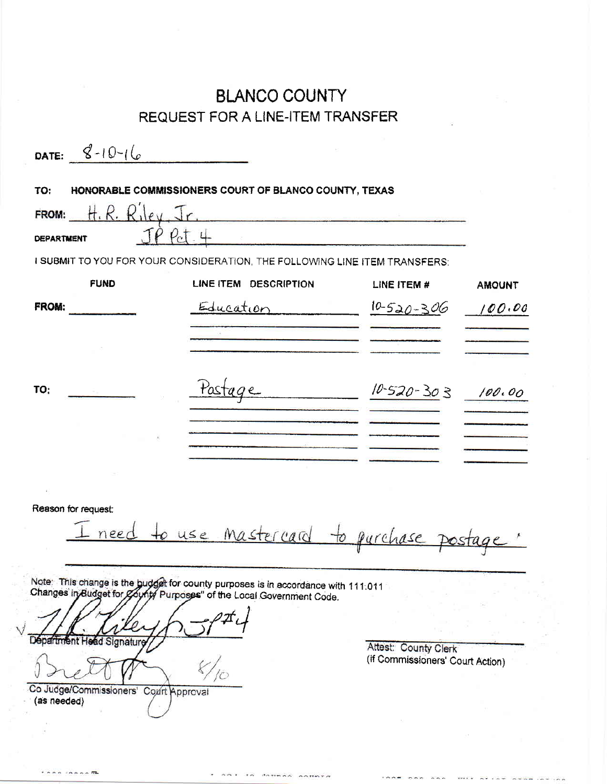## **BLANCO COUNTY** REQUEST FOR A LINE-ITEM TRANSFER

| DATE: $8-10-16$                                       |                                                                                                                                                           |                                  |               |
|-------------------------------------------------------|-----------------------------------------------------------------------------------------------------------------------------------------------------------|----------------------------------|---------------|
| TO:                                                   | HONORABLE COMMISSIONERS COURT OF BLANCO COUNTY, TEXAS                                                                                                     |                                  |               |
| FROM: $H, R, R, \leq 1$                               | <u> 1986 - Johann Stoff, amerikan bestemannten (</u>                                                                                                      |                                  |               |
| <b>DEPARTMENT</b>                                     | $P_{0}T_{1}4$                                                                                                                                             |                                  |               |
|                                                       | I SUBMIT TO YOU FOR YOUR CONSIDERATION, THE FOLLOWING LINE ITEM TRANSFERS:                                                                                |                                  |               |
| <b>FUND</b>                                           | LINE ITEM DESCRIPTION                                                                                                                                     | LINE ITEM #                      | <b>AMOUNT</b> |
| FROM:                                                 | Education                                                                                                                                                 | $10 - 520 - 306$                 | 100.00        |
|                                                       |                                                                                                                                                           |                                  |               |
|                                                       |                                                                                                                                                           |                                  |               |
| TO:                                                   | Pastage                                                                                                                                                   | $10-520-303$ $100.00$            |               |
|                                                       |                                                                                                                                                           |                                  |               |
|                                                       |                                                                                                                                                           |                                  |               |
|                                                       |                                                                                                                                                           |                                  |               |
|                                                       |                                                                                                                                                           |                                  |               |
| Reason for request:                                   |                                                                                                                                                           |                                  |               |
|                                                       | need to use mastercard to purchase postage."                                                                                                              |                                  |               |
|                                                       |                                                                                                                                                           |                                  |               |
|                                                       | Note: This change is the budget for county purposes is in accordance with 111.011<br>Changes in Budget for County Purposes" of the Local Government Code. |                                  |               |
|                                                       |                                                                                                                                                           |                                  |               |
| Départment Head Signature                             |                                                                                                                                                           | <b>Attest: County Clerk</b>      |               |
|                                                       |                                                                                                                                                           | (if Commissioners' Court Action) |               |
| Co Judge/Commissioners' Court Approval<br>(as needed) |                                                                                                                                                           |                                  |               |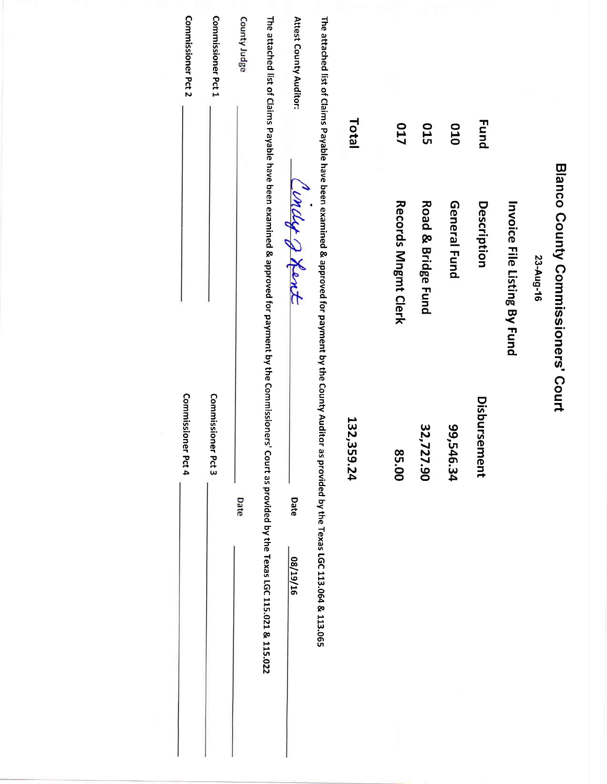| Commissioner Pct 2 | Commissioner Pct 1 | County Judge |                                                                                                                                                          | Attest County Auditor: |                                                                                                                                          |              |                     |                               |              |              |                              |           |                                    |
|--------------------|--------------------|--------------|----------------------------------------------------------------------------------------------------------------------------------------------------------|------------------------|------------------------------------------------------------------------------------------------------------------------------------------|--------------|---------------------|-------------------------------|--------------|--------------|------------------------------|-----------|------------------------------------|
|                    |                    |              |                                                                                                                                                          |                        |                                                                                                                                          | <b>Ictal</b> | <b>017</b>          | <b>015</b>                    | 010          | <b>Fund</b>  |                              |           |                                    |
|                    |                    |              | The attached list of Claims Payable have been examined & approved for payment by the Commissioners' Court as provided by the Texas LGC 115.021 & 115.022 | Condy & Hent           | The attached list of Claims Payable have been examined & approved for payment by the County Auditor as provided by the Texas LGC 113.065 |              | Records Mngmt Clerk | <b>Road &amp; Bridge Fund</b> | General Fund | Description  | Invoice File Listing By Fund | 23-Aug-16 | Blanco County Commissioners' Court |
| Commissioner Pct 4 | Commissioner Pct 3 |              |                                                                                                                                                          |                        |                                                                                                                                          | 132,359.24   | 85.00               | 32,727.90                     | 99,546.34    | Disbursement |                              |           |                                    |
|                    |                    | Date         |                                                                                                                                                          | Date<br>91/61/80       |                                                                                                                                          |              |                     |                               |              |              |                              |           |                                    |
|                    |                    |              |                                                                                                                                                          |                        |                                                                                                                                          |              |                     |                               |              |              |                              |           |                                    |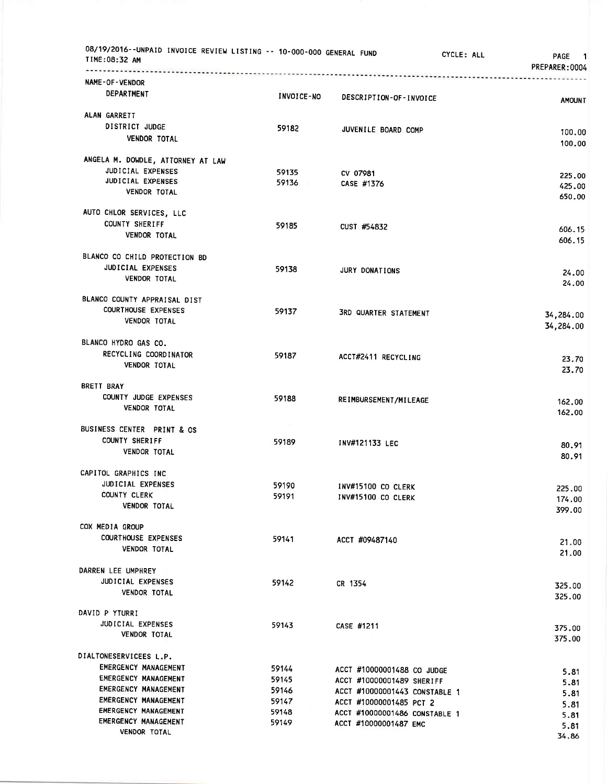| 08/19/2016--UNPAID INVOICE REVIEW LISTING -- 10-000-000 GENERAL FUND<br>TIME:08:32 AM |            | CYCLE: ALL                    | PAGE 1<br>PREPARER:0004 |
|---------------------------------------------------------------------------------------|------------|-------------------------------|-------------------------|
| NAME-OF-VENDOR                                                                        |            |                               |                         |
| DEPARTMENT                                                                            | INVOICE-NO | DESCRIPTION-OF-INVOICE        | <b>AMOUNT</b>           |
| ALAN GARRETT                                                                          |            |                               |                         |
| DISTRICT JUDGE                                                                        | 59182      | JUVENILE BOARD COMP           |                         |
| <b>VENDOR TOTAL</b>                                                                   |            |                               | 100.00<br>100.00        |
| ANGELA M. DOWDLE, ATTORNEY AT LAW                                                     |            |                               |                         |
| JUDICIAL EXPENSES                                                                     | 59135      |                               |                         |
| JUDICIAL EXPENSES                                                                     | 59136      | CV 07981<br>CASE #1376        | 225.00                  |
| VENDOR TOTAL                                                                          |            |                               | 425.00<br>650.00        |
| AUTO CHLOR SERVICES, LLC                                                              |            |                               |                         |
| COUNTY SHERIFF                                                                        | 59185      | CUST #54832                   |                         |
| <b>VENDOR TOTAL</b>                                                                   |            |                               | 606.15<br>606.15        |
| BLANCO CO CHILD PROTECTION BD                                                         |            |                               |                         |
| JUDICIAL EXPENSES                                                                     | 59138      | <b>JURY DONATIONS</b>         |                         |
| <b>VENDOR TOTAL</b>                                                                   |            |                               | 24.00<br>24.00          |
| BLANCO COUNTY APPRAISAL DIST                                                          |            |                               |                         |
| <b>COURTHOUSE EXPENSES</b>                                                            | 59137      | <b>3RD QUARTER STATEMENT</b>  |                         |
| VENDOR TOTAL                                                                          |            |                               | 34,284.00<br>34,284.00  |
| BLANCO HYDRO GAS CO.                                                                  |            |                               |                         |
| RECYCLING COORDINATOR                                                                 | 59187      | ACCT#2411 RECYCLING           |                         |
| VENDOR TOTAL                                                                          |            |                               | 23.70<br>23.70          |
| <b>BRETT BRAY</b>                                                                     |            |                               |                         |
| COUNTY JUDGE EXPENSES                                                                 | 59188      | REIMBURSEMENT/MILEAGE         | 162.00                  |
| <b>VENDOR TOTAL</b>                                                                   |            |                               | 162.00                  |
| BUSINESS CENTER PRINT & OS                                                            | >1         |                               |                         |
| <b>COUNTY SHERIFF</b>                                                                 | 59189      | INV#121133 LEC                | 80.91                   |
| <b>VENDOR TOTAL</b>                                                                   |            |                               | 80.91                   |
| CAPITOL GRAPHICS INC                                                                  |            |                               |                         |
| JUDICIAL EXPENSES                                                                     | 59190      | INV#15100 CO CLERK            | 225.00                  |
| COUNTY CLERK                                                                          | 59191      | <b>INV#15100 CO CLERK</b>     | 174.00                  |
| <b>VENDOR TOTAL</b>                                                                   |            |                               | 399.00                  |
| COX MEDIA GROUP                                                                       |            |                               |                         |
| <b>COURTHOUSE EXPENSES</b>                                                            | 59141      | ACCT #09487140                | 21.00                   |
| <b>VENDOR TOTAL</b>                                                                   |            |                               | 21.00                   |
| DARREN LEE UMPHREY                                                                    |            |                               |                         |
| JUDICIAL EXPENSES                                                                     | 59142      | CR 1354                       | 325.00                  |
| VENDOR TOTAL                                                                          |            |                               | 325.00                  |
| DAVID P YTURRI                                                                        |            |                               |                         |
| JUDICIAL EXPENSES                                                                     | 59143      | CASE #1211                    | 375.00                  |
| <b>VENDOR TOTAL</b>                                                                   |            |                               | 375.00                  |
| DIALTONESERVICEES L.P.                                                                |            |                               |                         |
| EMERGENCY MANAGEMENT                                                                  | 59144      | ACCT #10000001488 CO JUDGE    | 5.81                    |
| <b>EMERGENCY MANAGEMENT</b>                                                           | 59145      | ACCT #10000001489 SHERIFF     | 5.81                    |
| <b>EMERGENCY MANAGEMENT</b>                                                           | 59146      | ACCT #10000001443 CONSTABLE 1 | 5.81                    |
| <b>EMERGENCY MANAGEMENT</b>                                                           | 59147      | ACCT #10000001485 PCT 2       | 5.81                    |
| <b>EMERGENCY MANAGEMENT</b>                                                           | 59148      | ACCT #10000001486 CONSTABLE 1 | 5.81                    |
| <b>EMERGENCY MANAGEMENT</b>                                                           | 59149      | ACCT #10000001487 EMC         | 5.81                    |
| <b>VENDOR TOTAL</b>                                                                   |            |                               | 34.86                   |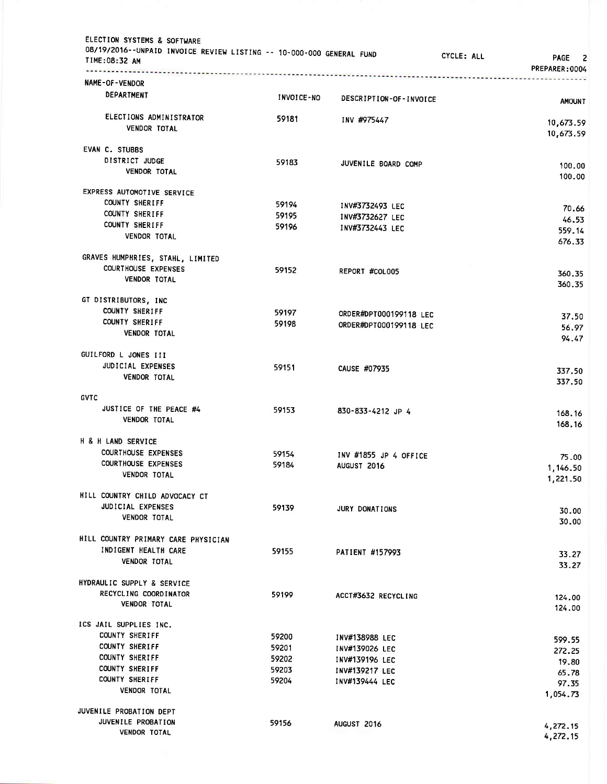| 08/19/2016--UNPAID INVOICE REVIEW LISTING -- 10-000-000 GENERAL FUND<br>TIME:08:32 AM<br>. <b>.</b> |            |                        | CYCLE: ALL | <b>PAGE</b><br>2<br>PREPARER: 0004 |
|-----------------------------------------------------------------------------------------------------|------------|------------------------|------------|------------------------------------|
| <b>NAME-OF-VENDOR</b><br><b>DEPARTMENT</b>                                                          | INVOICE-NO | DESCRIPTION-OF-INVOICE |            |                                    |
|                                                                                                     |            |                        |            | <b>AMOUNT</b>                      |
| ELECTIONS ADMINISTRATOR<br><b>VENDOR TOTAL</b>                                                      | 59181      | INV #975447            |            | 10,673.59                          |
|                                                                                                     |            |                        |            | 10,673.59                          |
| EVAN C. STUBBS                                                                                      |            |                        |            |                                    |
| DISTRICT JUDGE<br><b>VENDOR TOTAL</b>                                                               | 59183      | JUVENILE BOARD COMP    |            | 100.00<br>100.00                   |
| EXPRESS AUTOMOTIVE SERVICE                                                                          |            |                        |            |                                    |
| <b>COUNTY SHERIFF</b>                                                                               | 59194      | INV#3732493 LEC        |            | 70.66                              |
| COUNTY SHERIFF                                                                                      | 59195      | INV#3732627 LEC        |            | 46.53                              |
| COUNTY SHERIFF                                                                                      | 59196      | INV#3732443 LEC        |            | 559.14                             |
| <b>VENDOR TOTAL</b>                                                                                 |            |                        |            | 676.33                             |
| GRAVES HUMPHRIES, STAHL, LIMITED                                                                    |            |                        |            |                                    |
| <b>COURTHOUSE EXPENSES</b>                                                                          | 59152      | REPORT #COLOO5         |            | 360.35                             |
| <b>VENDOR TOTAL</b>                                                                                 |            |                        |            | 360.35                             |
| GT DISTRIBUTORS, INC                                                                                |            |                        |            |                                    |
| <b>COUNTY SHERIFF</b>                                                                               | 59197      | ORDER#DPT000199118 LEC |            |                                    |
| <b>COUNTY SHERIFF</b>                                                                               | 59198      | ORDER#DPT000199118 LEC |            | 37.50                              |
| <b>VENDOR TOTAL</b>                                                                                 |            |                        |            | 56.97<br>94.47                     |
| GUILFORD L JONES III                                                                                |            |                        |            |                                    |
| JUDICIAL EXPENSES                                                                                   | 59151      | CAUSE #07935           |            | 337.50                             |
| <b>VENDOR TOTAL</b>                                                                                 |            |                        |            | 337.50                             |
| <b>GVTC</b>                                                                                         |            |                        |            |                                    |
| JUSTICE OF THE PEACE #4<br>VENDOR TOTAL                                                             | 59153      | 830-833-4212 JP 4      |            | 168.16<br>168.16                   |
| H & H LAND SERVICE                                                                                  |            |                        |            |                                    |
| <b>COURTHOUSE EXPENSES</b>                                                                          | 59154      | INV #1855 JP 4 OFFICE  |            |                                    |
| <b>COURTHOUSE EXPENSES</b>                                                                          | 59184      | AUGUST 2016            |            | 75.00<br>1,146.50                  |
| <b>VENDOR TOTAL</b>                                                                                 |            |                        |            | 1,221.50                           |
| HILL COUNTRY CHILD ADVOCACY CT                                                                      |            |                        |            |                                    |
| JUDICIAL EXPENSES                                                                                   | 59139      | JURY DONATIONS         |            | 30.00                              |
| VENDOR TOTAL                                                                                        |            |                        |            | 30.00                              |
| HILL COUNTRY PRIMARY CARE PHYSICIAN                                                                 |            |                        |            |                                    |
| INDIGENT HEALTH CARE                                                                                | 59155      | PATIENT #157993        |            |                                    |
| VENDOR TOTAL                                                                                        |            |                        |            | 33.27<br>33.27                     |
| HYDRAULIC SUPPLY & SERVICE                                                                          |            |                        |            |                                    |
| RECYCLING COORDINATOR                                                                               | 59199      | ACCT#3632 RECYCLING    |            |                                    |
| <b>VENDOR TOTAL</b>                                                                                 |            |                        |            | 124.00<br>124.00                   |
| ICS JAIL SUPPLIES INC.                                                                              |            |                        |            |                                    |
| COUNTY SHERIFF                                                                                      | 59200      | INV#138988 LEC         |            | 599.55                             |
| <b>COUNTY SHERIFF</b>                                                                               | 59201      | INV#139026 LEC         |            | 272.25                             |
| COUNTY SHERIFF                                                                                      | 59202      | INV#139196 LEC         |            | 19,80                              |
| COUNTY SHERIFF                                                                                      | 59203      | INV#139217 LEC         |            | 65.78                              |
| COUNTY SHERIFF                                                                                      | 59204      | INV#139444 LEC         |            | 97.35                              |
| <b>VENDOR TOTAL</b>                                                                                 |            |                        |            | 1,054.73                           |
| JUVENILE PROBATION DEPT                                                                             |            |                        |            |                                    |
| JUVENILE PROBATION                                                                                  | 59156      | AUGUST 2016            |            | 4,272.15                           |
| <b>VENDOR TOTAL</b>                                                                                 |            |                        |            | 4,272.15                           |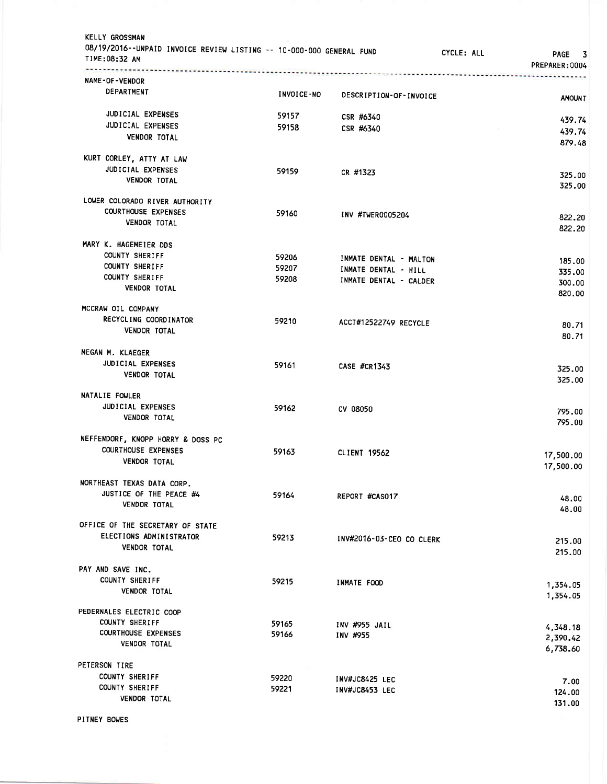| <b>KELLY GROSSMAN</b><br>08/19/2016--UNPAID INVOICE REVIEW LISTING -- 10-000-000 GENERAL FUND<br>TIME:08:32 AM<br>. |            |                          | CYCLE: ALL | <b>PAGE</b><br>3<br>PREPARER: 0004 |
|---------------------------------------------------------------------------------------------------------------------|------------|--------------------------|------------|------------------------------------|
| NAME-OF-VENDOR                                                                                                      |            |                          |            |                                    |
| DEPARTMENT                                                                                                          | INVOICE-NO | DESCRIPTION-OF-INVOICE   |            | <b>AMOUNT</b>                      |
| JUDICIAL EXPENSES                                                                                                   | 59157      | CSR #6340                |            | 439.74                             |
| JUDICIAL EXPENSES                                                                                                   | 59158      | CSR #6340                |            | 439.74                             |
| VENDOR TOTAL                                                                                                        |            |                          |            | 879.48                             |
| KURT CORLEY, ATTY AT LAW                                                                                            |            |                          |            |                                    |
| JUDICIAL EXPENSES                                                                                                   | 59159      | CR #1323                 |            |                                    |
| <b>VENDOR TOTAL</b>                                                                                                 |            |                          |            | 325.00<br>325.00                   |
| LOWER COLORADO RIVER AUTHORITY                                                                                      |            |                          |            |                                    |
| <b>COURTHOUSE EXPENSES</b>                                                                                          | 59160      | INV #TWER0005204         |            | 822.20                             |
| <b>VENDOR TOTAL</b>                                                                                                 |            |                          |            | 822.20                             |
| MARY K. HAGEMEIER DDS                                                                                               |            |                          |            |                                    |
| COUNTY SHERIFF                                                                                                      | 59206      | INMATE DENTAL - MALTON   |            | 185.00                             |
| <b>COUNTY SHERIFF</b>                                                                                               | 59207      | INMATE DENTAL - HILL     |            | 335.00                             |
| COUNTY SHERIFF                                                                                                      | 59208      | INMATE DENTAL - CALDER   |            | 300.00                             |
| <b>VENDOR TOTAL</b>                                                                                                 |            |                          |            | 820,00                             |
| MCCRAW OIL COMPANY                                                                                                  |            |                          |            |                                    |
| RECYCLING COORDINATOR                                                                                               | 59210      | ACCT#12522749 RECYCLE    |            | 80.71                              |
| <b>VENDOR TOTAL</b>                                                                                                 |            |                          |            | 80.71                              |
| MEGAN M. KLAEGER                                                                                                    |            |                          |            |                                    |
| JUDICIAL EXPENSES                                                                                                   | 59161      | <b>CASE #CR1343</b>      |            | 325.00                             |
| <b>VENDOR TOTAL</b>                                                                                                 |            |                          |            | 325.00                             |
| NATALIE FOWLER                                                                                                      |            |                          |            |                                    |
| JUDICIAL EXPENSES                                                                                                   | 59162      | CV 08050                 |            | 795.00                             |
| <b>VENDOR TOTAL</b>                                                                                                 |            |                          |            | 795.00                             |
| NEFFENDORF, KNOPP HORRY & DOSS PC                                                                                   |            |                          |            |                                    |
| <b>COURTHOUSE EXPENSES</b>                                                                                          | 59163      | <b>CLIENT 19562</b>      |            | 17,500.00                          |
| <b>VENDOR TOTAL</b>                                                                                                 |            |                          |            | 17,500.00                          |
| NORTHEAST TEXAS DATA CORP.                                                                                          |            |                          |            |                                    |
| JUSTICE OF THE PEACE #4                                                                                             | 59164      | REPORT #CAS017           |            | 48.00                              |
| <b>VENDOR TOTAL</b>                                                                                                 |            |                          |            | 48.00                              |
| OFFICE OF THE SECRETARY OF STATE                                                                                    |            |                          |            |                                    |
| ELECTIONS ADMINISTRATOR                                                                                             | 59213      | INV#2016-03-CEO CO CLERK |            | 215.00                             |
| <b>VENDOR TOTAL</b>                                                                                                 |            |                          |            | 215.00                             |
| PAY AND SAVE INC.                                                                                                   |            |                          |            |                                    |
| <b>COUNTY SHERIFF</b>                                                                                               | 59215      | INMATE FOOD              |            | 1,354.05                           |
| <b>VENDOR TOTAL</b>                                                                                                 |            |                          |            | 1,354.05                           |
| PEDERNALES ELECTRIC COOP                                                                                            |            |                          |            |                                    |
| COUNTY SHERIFF                                                                                                      | 59165      | INV #955 JAIL            |            | 4,348.18                           |
| <b>COURTHOUSE EXPENSES</b>                                                                                          | 59166      | INV #955                 |            | 2,390.42                           |
| <b>VENDOR TOTAL</b>                                                                                                 |            |                          |            | 6,738.60                           |
| PETERSON TIRE                                                                                                       |            |                          |            |                                    |
| COUNTY SHERIFF                                                                                                      | 59220      | INV#JC8425 LEC           |            | 7.00                               |
| COUNTY SHERIFF                                                                                                      | 59221      | INV#JC8453 LEC           |            | 124.00                             |
| VENDOR TOTAL                                                                                                        |            |                          |            | 131.00                             |

PITNEY BOWES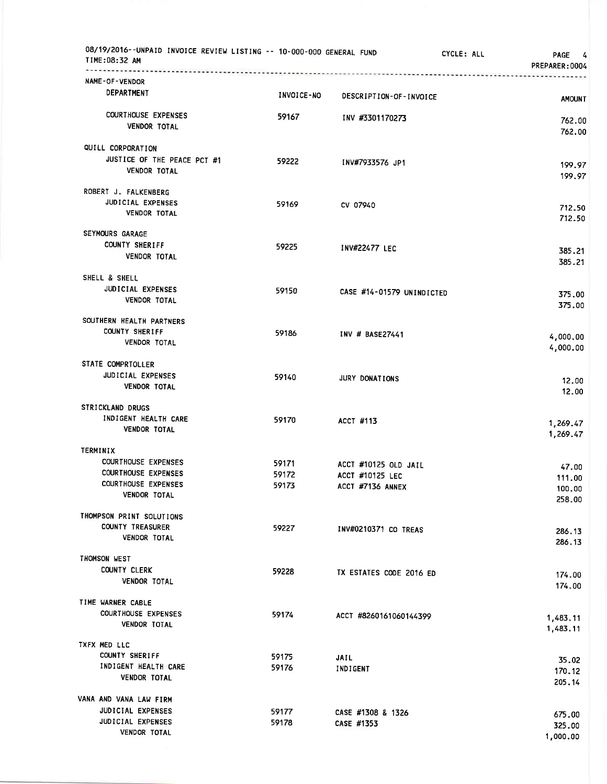| 08/19/2016--UNPAID INVOICE REVIEW LISTING -- 10-000-000 GENERAL FUND<br>TIME:08:32 AM |            |                                         | CYCLE: ALL                          | <b>PAGE</b><br>4<br>PREPARER: 0004 |
|---------------------------------------------------------------------------------------|------------|-----------------------------------------|-------------------------------------|------------------------------------|
| NAME-OF-VENDOR                                                                        |            |                                         | *********************************** |                                    |
| DEPARTMENT                                                                            | INVOICE-NO | DESCRIPTION-OF-INVOICE                  |                                     | <b>AMOUNT</b>                      |
| <b>COURTHOUSE EXPENSES</b><br><b>VENDOR TOTAL</b>                                     | 59167      | INV #3301170273                         |                                     | 762.00                             |
|                                                                                       |            |                                         |                                     | 762,00                             |
| QUILL CORPORATION<br>JUSTICE OF THE PEACE PCT #1                                      | 59222      |                                         |                                     |                                    |
| <b>VENDOR TOTAL</b>                                                                   |            | INV#7933576 JP1                         |                                     | 199.97<br>199.97                   |
| ROBERT J. FALKENBERG                                                                  |            |                                         |                                     |                                    |
| JUDICIAL EXPENSES<br><b>VENDOR TOTAL</b>                                              | 59169      | CV 07940                                |                                     | 712.50                             |
|                                                                                       |            |                                         |                                     | 712.50                             |
| SEYMOURS GARAGE<br><b>COUNTY SHERIFF</b>                                              |            |                                         |                                     |                                    |
| <b>VENDOR TOTAL</b>                                                                   | 59225      | <b>INV#22477 LEC</b>                    |                                     | 385,21                             |
|                                                                                       |            |                                         |                                     | 385.21                             |
| SHELL & SHELL<br>JUDICIAL EXPENSES                                                    |            |                                         |                                     |                                    |
| <b>VENDOR TOTAL</b>                                                                   | 59150      | CASE #14-01579 UNINDICTED               |                                     | 375.00                             |
|                                                                                       |            |                                         |                                     | 375.00                             |
| SOUTHERN HEALTH PARTNERS                                                              |            |                                         |                                     |                                    |
| <b>COUNTY SHERIFF</b><br><b>VENDOR TOTAL</b>                                          | 59186      | INV # BASE27441                         |                                     | 4,000.00                           |
|                                                                                       |            |                                         |                                     | 4,000.00                           |
| STATE COMPRTOLLER                                                                     |            |                                         |                                     |                                    |
| JUDICIAL EXPENSES<br><b>VENDOR TOTAL</b>                                              | 59140      | JURY DONATIONS                          |                                     | 12.00                              |
|                                                                                       |            |                                         |                                     | 12.00                              |
| <b>STRICKLAND DRUGS</b><br>INDIGENT HEALTH CARE                                       | 59170      |                                         |                                     |                                    |
| <b>VENDOR TOTAL</b>                                                                   |            | ACCT #113                               |                                     | 1,269.47<br>1,269.47               |
|                                                                                       |            |                                         |                                     |                                    |
| TERMINIX<br><b>COURTHOUSE EXPENSES</b>                                                | 59171      |                                         |                                     |                                    |
| <b>COURTHOUSE EXPENSES</b>                                                            | 59172      | ACCT #10125 OLD JAIL<br>ACCT #10125 LEC |                                     | 47.00                              |
| <b>COURTHOUSE EXPENSES</b>                                                            | 59173      | ACCT #7136 ANNEX                        |                                     | 111.00                             |
| <b>VENDOR TOTAL</b>                                                                   |            |                                         |                                     | 100.00<br>258.00                   |
| THOMPSON PRINT SOLUTIONS                                                              |            |                                         |                                     |                                    |
| COUNTY TREASURER                                                                      | 59227      | INV#0210371 CO TREAS                    |                                     | 286.13                             |
| <b>VENDOR TOTAL</b>                                                                   |            |                                         |                                     | 286.13                             |
| THOMSON WEST                                                                          |            |                                         |                                     |                                    |
| COUNTY CLERK                                                                          | 59228      | TX ESTATES CODE 2016 ED                 |                                     | 174.00                             |
| VENDOR TOTAL                                                                          |            |                                         |                                     | 174.00                             |
| TIME WARNER CABLE                                                                     |            |                                         |                                     |                                    |
| <b>COURTHOUSE EXPENSES</b>                                                            | 59174      | ACCT #8260161060144399                  |                                     | 1,483.11                           |
| <b>VENDOR TOTAL</b>                                                                   |            |                                         |                                     | 1,483.11                           |
| TXFX MED LLC                                                                          |            |                                         |                                     |                                    |
| COUNTY SHERIFF                                                                        | 59175      | JAIL                                    |                                     | 35.02                              |
| INDIGENT HEALTH CARE<br><b>VENDOR TOTAL</b>                                           | 59176      | INDIGENT                                |                                     | 170.12                             |
|                                                                                       |            |                                         |                                     | 205.14                             |
| VANA AND VANA LAW FIRM                                                                |            |                                         |                                     |                                    |
| <b>JUDICIAL EXPENSES</b>                                                              | 59177      | CASE #1308 & 1326                       |                                     | 675.00                             |
| JUDICIAL EXPENSES<br><b>VENDOR TOTAL</b>                                              | 59178      | CASE #1353                              |                                     | 325.00                             |
|                                                                                       |            |                                         |                                     | 1,000.00                           |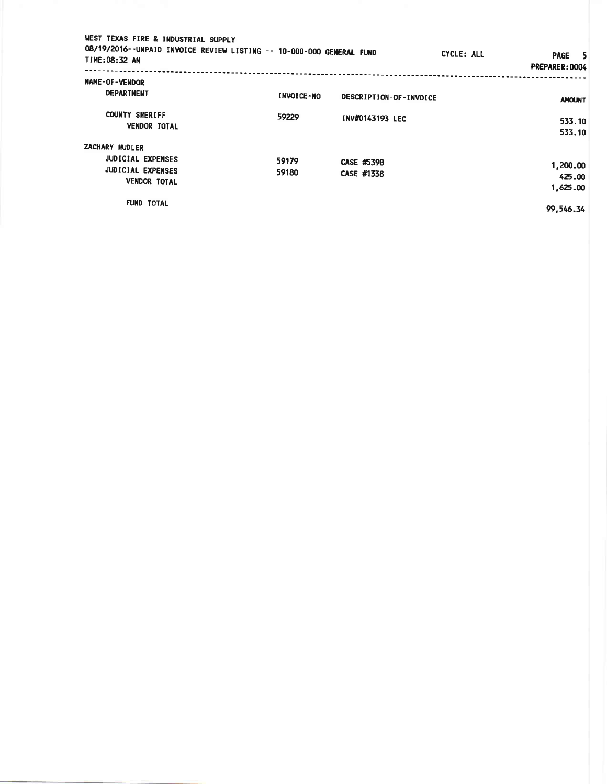| WEST TEXAS FIRE & INDUSTRIAL SUPPLY<br>08/19/2016--UNPAID INVOICE REVIEW LISTING -- 10-000-000 GENERAL FUND<br>TIME:08:32 AM |                |                          | CYCLE: ALL | PAGE 5<br>PREPARER: 0004       |
|------------------------------------------------------------------------------------------------------------------------------|----------------|--------------------------|------------|--------------------------------|
| NAME-OF-VENDOR                                                                                                               |                |                          |            |                                |
| <b>DEPARTMENT</b>                                                                                                            | INVOICE-NO     | DESCRIPTION-OF-INVOICE   |            | <b>AMOUNT</b>                  |
| <b>COUNTY SHERIFF</b><br><b>VENDOR TOTAL</b>                                                                                 | 59229          | INV#0143193 LEC          |            | 533.10<br>533.10               |
| ZACHARY HUDLER                                                                                                               |                |                          |            |                                |
| <b>JUDICIAL EXPENSES</b><br>JUDICIAL EXPENSES<br><b>VENDOR TOTAL</b>                                                         | 59179<br>59180 | CASE #5398<br>CASE #1338 |            | 1,200.00<br>425.00<br>1,625.00 |
| <b>FUND TOTAL</b>                                                                                                            |                |                          |            | 99,546.34                      |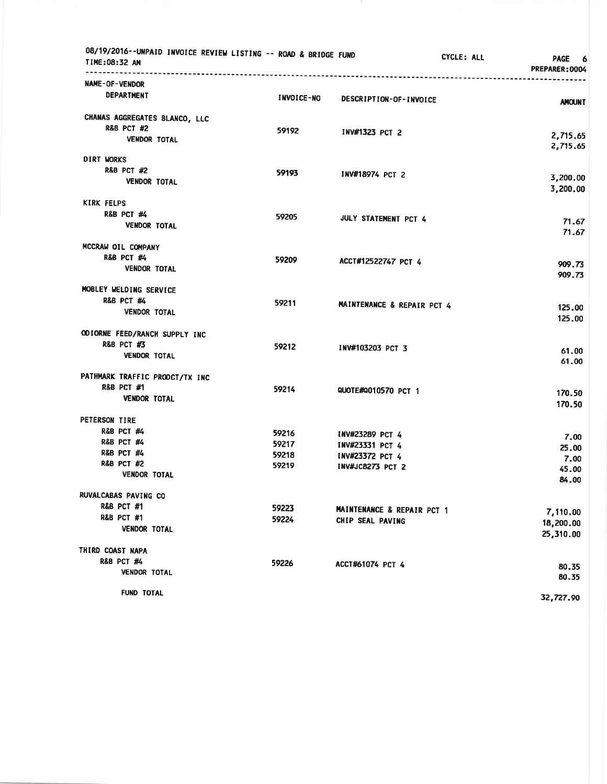| 08/19/2016--UNPAID INVOICE REVIEW LISTING -- ROAD & BRIDGE FUND<br>TIME:08:32 AM |                   |                                                | CYCLE: ALL | <b>PAGE</b><br>6<br>PREPARER: 0004 |
|----------------------------------------------------------------------------------|-------------------|------------------------------------------------|------------|------------------------------------|
| NAME-OF-VENDOR                                                                   |                   | ------------------------------                 |            |                                    |
| <b>DEPARTMENT</b>                                                                | <b>INVOICE-NO</b> | DESCRIPTION-OF-INVOICE                         |            | <b>AMOUNT</b>                      |
| CHANAS AGGREGATES BLANCO, LLC                                                    |                   |                                                |            |                                    |
| <b>R&amp;B PCT #2</b>                                                            | 59192             | INV#1323 PCT 2                                 |            | 2,715.65                           |
| <b>VENDOR TOTAL</b>                                                              |                   |                                                |            | 2,715.65                           |
| DIRT WORKS                                                                       |                   |                                                |            |                                    |
| <b>R&amp;B PCT #2</b>                                                            | 59193             | INV#18974 PCT 2                                |            |                                    |
| <b>VENDOR TOTAL</b>                                                              |                   |                                                |            | 3,200.00                           |
|                                                                                  |                   |                                                |            | 3,200.00                           |
| <b>KIRK FELPS</b>                                                                |                   |                                                |            |                                    |
| <b>R&amp;B PCT #4</b>                                                            | 59205             | JULY STATEMENT PCT 4                           |            | 71.67                              |
| <b>VENDOR TOTAL</b>                                                              |                   |                                                |            | 71.67                              |
| MCCRAW OIL COMPANY                                                               |                   |                                                |            |                                    |
| R&B PCT #4                                                                       |                   |                                                |            |                                    |
| <b>VENDOR TOTAL</b>                                                              | 59209             | ACCT#12522747 PCT 4                            |            | 909.73                             |
|                                                                                  |                   |                                                |            | 909.73                             |
| MOBLEY WELDING SERVICE                                                           |                   |                                                |            |                                    |
| <b>R&amp;B PCT #4</b>                                                            | 59211             | MAINTENANCE & REPAIR PCT 4                     |            | 125.00                             |
| <b>VENDOR TOTAL</b>                                                              |                   |                                                |            | 125.00                             |
| ODIORNE FEED/RANCH SUPPLY INC                                                    |                   |                                                |            |                                    |
| <b>R&amp;B PCT #3</b>                                                            | 59212             | INV#103203 PCT 3                               |            |                                    |
| <b>VENDOR TOTAL</b>                                                              |                   |                                                |            | 61.00                              |
|                                                                                  |                   |                                                |            | 61.00                              |
| PATHMARK TRAFFIC PRODCT/TX INC                                                   |                   |                                                |            |                                    |
| <b>R&amp;B PCT #1</b>                                                            | 59214             | QUOTE#Q010570 PCT 1                            |            | 170.50                             |
| <b>VENDOR TOTAL</b>                                                              |                   |                                                |            | 170.50                             |
| PETERSON TIRE                                                                    |                   |                                                |            |                                    |
| R&B PCT #4                                                                       | 59216             |                                                |            |                                    |
| <b>R&amp;B PCT #4</b>                                                            | 59217             | INV#23289 PCT 4<br>INV#23331 PCT 4             |            | 7.00                               |
| <b>R&amp;B PCT #4</b>                                                            | 59218             | INV#23372 PCT 4                                |            | 25.00                              |
| <b>R&amp;B PCT #2</b>                                                            | 59219             | INV#JC8273 PCT 2                               |            | 7.00<br>45.00                      |
| <b>VENDOR TOTAL</b>                                                              |                   |                                                |            | 84.00                              |
| RUVALCABAS PAVING CO                                                             |                   |                                                |            |                                    |
| <b>R&amp;B PCT #1</b>                                                            | 59223             |                                                |            |                                    |
| <b>R&amp;B PCT #1</b>                                                            | 59224             | MAINTENANCE & REPAIR PCT 1<br>CHIP SEAL PAVING |            | 7,110.00                           |
| <b>VENDOR TOTAL</b>                                                              |                   |                                                |            | 18,200.00                          |
|                                                                                  |                   |                                                |            | 25,310.00                          |
| <b>THIRD COAST NAPA</b>                                                          |                   |                                                |            |                                    |
| <b>R&amp;B PCT #4</b>                                                            | 59226             | ACCT#61074 PCT 4                               |            | 80.35                              |
| <b>VENDOR TOTAL</b>                                                              |                   |                                                |            | 80.35                              |
| <b>FUND TOTAL</b>                                                                |                   |                                                |            |                                    |
|                                                                                  |                   |                                                |            | 32,727.90                          |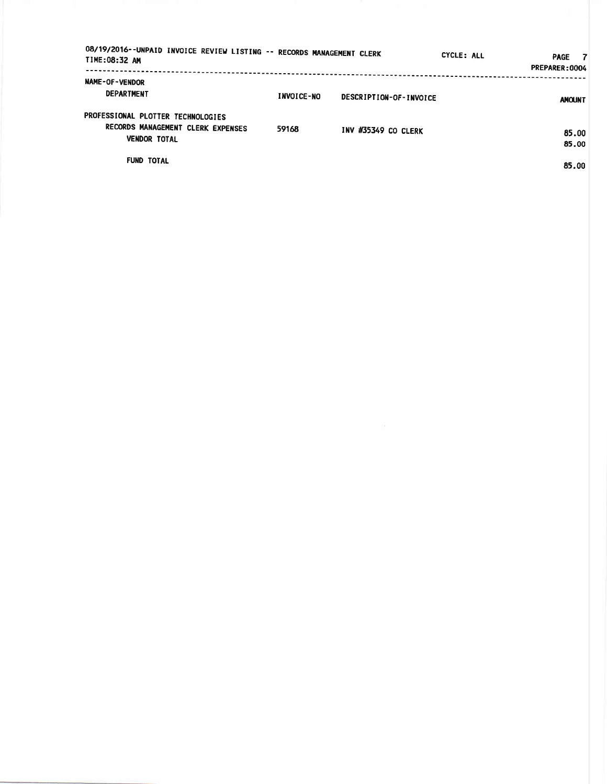| 08/19/2016--UNPAID INVOICE REVIEW LISTING -- RECORDS MANAGEMENT CLERK<br>TIME:08:32 AM        |            |                        | CYCLE: ALL | <b>PAGE</b><br>$\overline{7}$<br>PREPARER: 0004 |
|-----------------------------------------------------------------------------------------------|------------|------------------------|------------|-------------------------------------------------|
| NAME-OF-VENDOR<br><b>DEPARTMENT</b>                                                           | INVOICE-NO | DESCRIPTION-OF-INVOICE |            | <b>ANOUNT</b>                                   |
| PROFESSIONAL PLOTTER TECHNOLOGIES<br>RECORDS MANAGEMENT CLERK EXPENSES<br><b>VENDOR TOTAL</b> | 59168      | INV #35349 CO CLERK    |            | 85.00<br>85.00                                  |
| <b>FUND TOTAL</b>                                                                             |            |                        |            | 85.00                                           |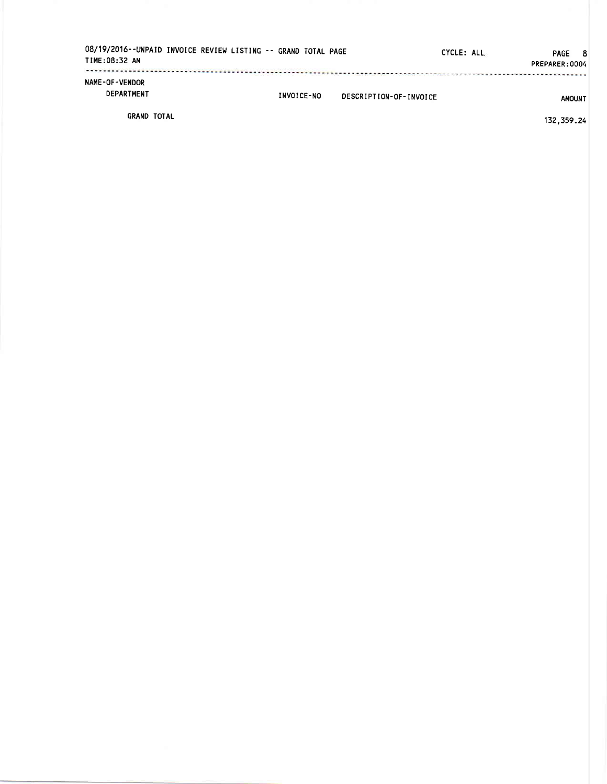| TIME:08:32 AM                              | 08/19/2016--UNPAID INVOICE REVIEW LISTING -- GRAND TOTAL PAGE |            |                        | CYCLE: ALL | PAGE 8<br>PREPARER: 0004 |  |
|--------------------------------------------|---------------------------------------------------------------|------------|------------------------|------------|--------------------------|--|
| <b>NAME-OF-VENDOR</b><br><b>DEPARTMENT</b> |                                                               | INVOICE-NO | DESCRIPTION-OF-INVOICE |            | <b>AMOUNT</b>            |  |
| <b>GRAND TOTAL</b>                         |                                                               |            |                        |            | 132 350 24               |  |

132,359.24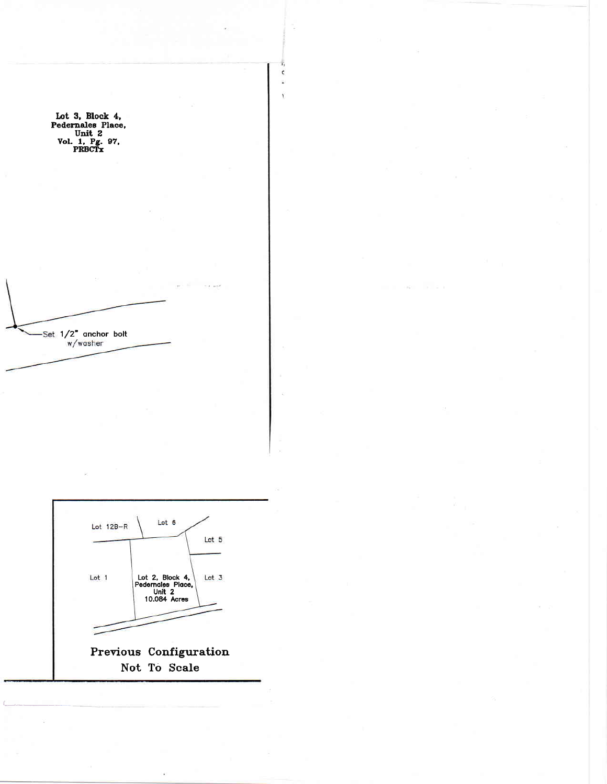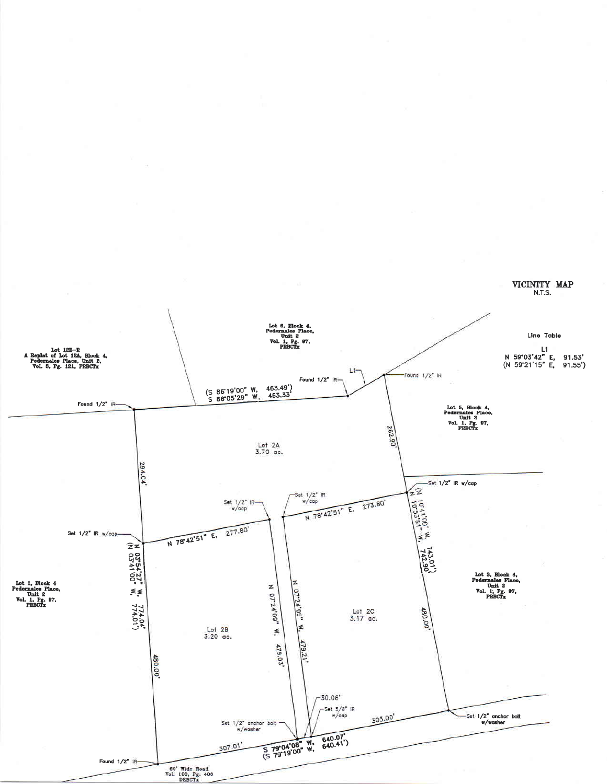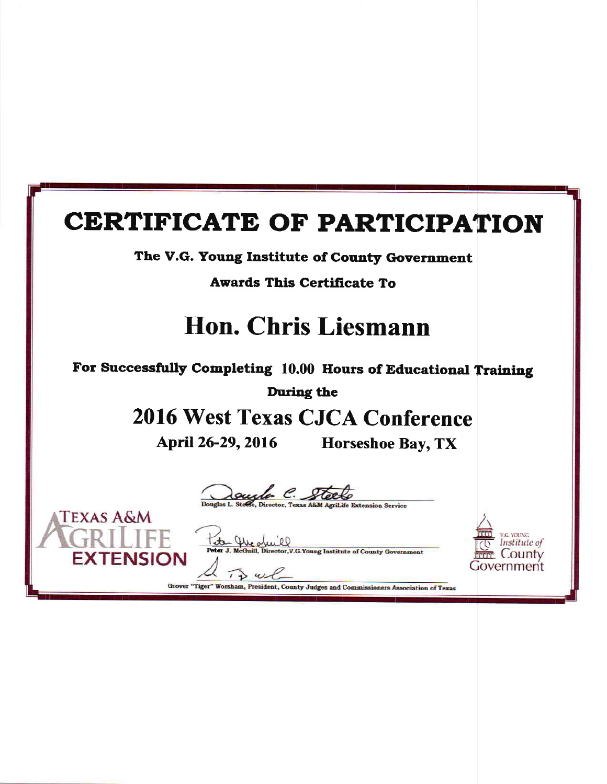## **CERTIFICATE OF PARTICIPATION** The V.G. Young Institute of County Government **Awards This Certificate To Hon. Chris Liesmann** For Successfully Completing 10.00 Hours of Educational Training During the **2016 West Texas CJCA Conference** April 26-29, 2016 **Horseshoe Bay, TX** <u>Lough C. Steel</u> AgriLife Extension Service TEXAS A&M **G. YOUNG** Institute of tor, V.G. Young Institute of County Government ounty **(TENSION**  $\omega$ Grover "Tiger" Worsham, President, County Judges and Commissioners Association of Texas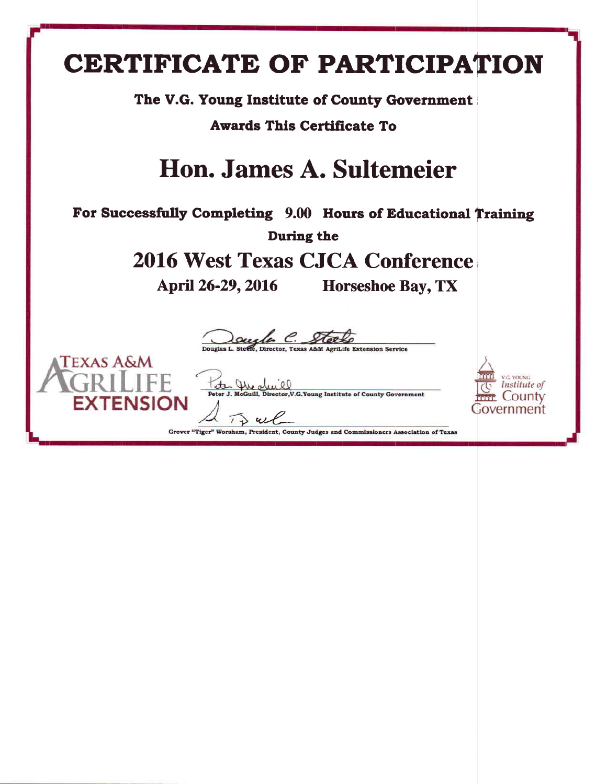